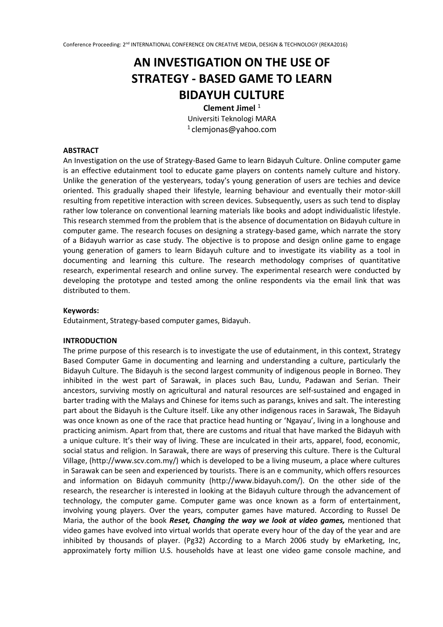# **AN INVESTIGATION ON THE USE OF STRATEGY - BASED GAME TO LEARN BIDAYUH CULTURE**

**Clement Jimel**<sup>1</sup>

Universiti Teknologi MARA  $1$ clemjonas@yahoo.com

#### **ABSTRACT**

An Investigation on the use of Strategy-Based Game to learn Bidayuh Culture. Online computer game is an effective edutainment tool to educate game players on contents namely culture and history. Unlike the generation of the yesteryears, today's young generation of users are techies and device oriented. This gradually shaped their lifestyle, learning behaviour and eventually their motor-skill resulting from repetitive interaction with screen devices. Subsequently, users as such tend to display rather low tolerance on conventional learning materials like books and adopt individualistic lifestyle. This research stemmed from the problem that is the absence of documentation on Bidayuh culture in computer game. The research focuses on designing a strategy-based game, which narrate the story of a Bidayuh warrior as case study. The objective is to propose and design online game to engage young generation of gamers to learn Bidayuh culture and to investigate its viability as a tool in documenting and learning this culture. The research methodology comprises of quantitative research, experimental research and online survey. The experimental research were conducted by developing the prototype and tested among the online respondents via the email link that was distributed to them.

#### **Keywords:**

Edutainment, Strategy-based computer games, Bidayuh.

#### **INTRODUCTION**

The prime purpose of this research is to investigate the use of edutainment, in this context, Strategy Based Computer Game in documenting and learning and understanding a culture, particularly the Bidayuh Culture. The Bidayuh is the second largest community of indigenous people in Borneo. They inhibited in the west part of Sarawak, in places such Bau, Lundu, Padawan and Serian. Their ancestors, surviving mostly on agricultural and natural resources are self-sustained and engaged in barter trading with the Malays and Chinese for items such as parangs, knives and salt. The interesting part about the Bidayuh is the Culture itself. Like any other indigenous races in Sarawak, The Bidayuh was once known as one of the race that practice head hunting or 'Ngayau', living in a longhouse and practicing animism. Apart from that, there are customs and ritual that have marked the Bidayuh with a unique culture. It's their way of living. These are inculcated in their arts, apparel, food, economic, social status and religion. In Sarawak, there are ways of preserving this culture. There is the Cultural Village, (http://www.scv.com.my/) which is developed to be a living museum, a place where cultures in Sarawak can be seen and experienced by tourists. There is an e community, which offers resources and information on Bidayuh community (http://www.bidayuh.com/). On the other side of the research, the researcher is interested in looking at the Bidayuh culture through the advancement of technology, the computer game. Computer game was once known as a form of entertainment, involving young players. Over the years, computer games have matured. According to Russel De Maria, the author of the book *Reset, Changing the way we look at video games,* mentioned that video games have evolved into virtual worlds that operate every hour of the day of the year and are inhibited by thousands of player. (Pg32) According to a March 2006 study by eMarketing, Inc, approximately forty million U.S. households have at least one video game console machine, and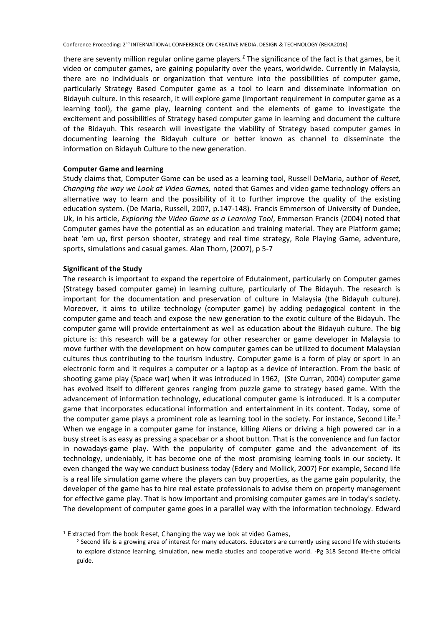there are seventy million regular online game players.*<sup>1</sup>* The significance of the fact is that games, be it video or computer games, are gaining popularity over the years, worldwide. Currently in Malaysia, there are no individuals or organization that venture into the possibilities of computer game, particularly Strategy Based Computer game as a tool to learn and disseminate information on Bidayuh culture. In this research, it will explore game (Important requirement in computer game as a learning tool), the game play, learning content and the elements of game to investigate the excitement and possibilities of Strategy based computer game in learning and document the culture of the Bidayuh. This research will investigate the viability of Strategy based computer games in documenting learning the Bidayuh culture or better known as channel to disseminate the information on Bidayuh Culture to the new generation.

## **Computer Game and learning**

Study claims that, Computer Game can be used as a learning tool, Russell DeMaria, author of *Reset, Changing the way we Look at Video Games,* noted that Games and video game technology offers an alternative way to learn and the possibility of it to further improve the quality of the existing education system. (De Maria, Russell, 2007, p.147-148). Francis Emmerson of University of Dundee, Uk, in his article, *Exploring the Video Game as a Learning Tool*, Emmerson Francis (2004) noted that Computer games have the potential as an education and training material. They are Platform game; beat 'em up, first person shooter, strategy and real time strategy, Role Playing Game, adventure, sports, simulations and casual games. Alan Thorn, (2007), p 5-7

## **Significant of the Study**

.

The research is important to expand the repertoire of Edutainment, particularly on Computer games (Strategy based computer game) in learning culture, particularly of The Bidayuh. The research is important for the documentation and preservation of culture in Malaysia (the Bidayuh culture). Moreover, it aims to utilize technology (computer game) by adding pedagogical content in the computer game and teach and expose the new generation to the exotic culture of the Bidayuh. The computer game will provide entertainment as well as education about the Bidayuh culture. The big picture is: this research will be a gateway for other researcher or game developer in Malaysia to move further with the development on how computer games can be utilized to document Malaysian cultures thus contributing to the tourism industry. Computer game is a form of play or sport in an electronic form and it requires a computer or a laptop as a device of interaction. From the basic of shooting game play (Space war) when it was introduced in 1962, (Ste Curran, 2004) computer game has evolved itself to different genres ranging from puzzle game to strategy based game. With the advancement of information technology, educational computer game is introduced. It is a computer game that incorporates educational information and entertainment in its content. Today, some of the computer game plays a prominent role as learning tool in the society. For instance, Second Life.<sup>2</sup> When we engage in a computer game for instance, killing Aliens or driving a high powered car in a busy street is as easy as pressing a spacebar or a shoot button. That is the convenience and fun factor in nowadays-game play. With the popularity of computer game and the advancement of its technology, undeniably, it has become one of the most promising learning tools in our society. It even changed the way we conduct business today (Edery and Mollick, 2007) For example, Second life is a real life simulation game where the players can buy properties, as the game gain popularity, the developer of the game has to hire real estate professionals to advise them on property management for effective game play. That is how important and promising computer games are in today's society. The development of computer game goes in a parallel way with the information technology. Edward

<sup>&</sup>lt;sup>1</sup> Extracted from the book Reset, Changing the way we look at video Games,

<sup>&</sup>lt;sup>2</sup> Second life is a growing area of interest for many educators. Educators are currently using second life with students to explore distance learning, simulation, new media studies and cooperative world. -Pg 318 Second life-the official guide.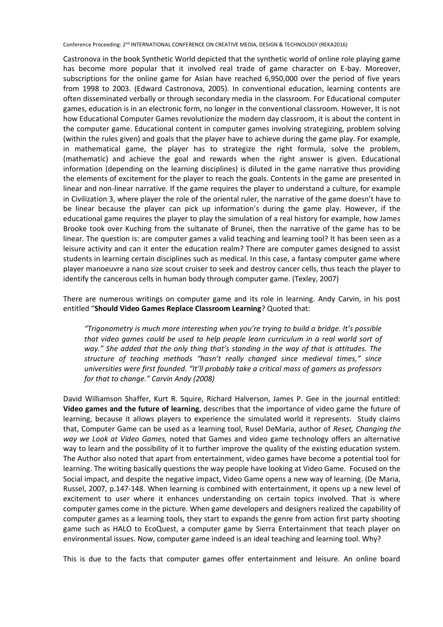Castronova in the book Synthetic World depicted that the synthetic world of online role playing game has become more popular that it involved real trade of game character on E-bay. Moreover, subscriptions for the online game for Asian have reached 6,950,000 over the period of five years from 1998 to 2003. (Edward Castronova, 2005). In conventional education, learning contents are often disseminated verbally or through secondary media in the classroom. For Educational computer games, education is in an electronic form, no longer in the conventional classroom. However, It is not how Educational Computer Games revolutionize the modern day classroom, it is about the content in the computer game. Educational content in computer games involving strategizing, problem solving (within the rules given) and goals that the player have to achieve during the game play. For example, in mathematical game, the player has to strategize the right formula, solve the problem, (mathematic) and achieve the goal and rewards when the right answer is given. Educational information (depending on the learning disciplines) is diluted in the game narrative thus providing the elements of excitement for the player to reach the goals. Contents in the game are presented in linear and non-linear narrative. If the game requires the player to understand a culture, for example in Civilization 3, where player the role of the oriental ruler, the narrative of the game doesn't have to be linear because the player can pick up information's during the game play. However, if the educational game requires the player to play the simulation of a real history for example, how James Brooke took over Kuching from the sultanate of Brunei, then the narrative of the game has to be linear. The question is: are computer games a valid teaching and learning tool? It has been seen as a leisure activity and can it enter the education realm? There are computer games designed to assist students in learning certain disciplines such as medical. In this case, a fantasy computer game where player manoeuvre a nano size scout cruiser to seek and destroy cancer cells, thus teach the player to identify the cancerous cells in human body through computer game. (Texley, 2007)

There are numerous writings on computer game and its role in learning. Andy Carvin, in his post entitled "**Should Video Games Replace Classroom Learning**? Quoted that:

*"Trigonometry is much more interesting when you're trying to build a bridge. It's possible that video games could be used to help people learn curriculum in a real world sort of way." She added that the only thing that's standing in the way of that is attitudes. The structure of teaching methods "hasn't really changed since medieval times," since universities were first founded. "It'll probably take a critical mass of gamers as professors for that to change." Carvin Andy (2008)*

David Williamson Shaffer, Kurt R. Squire, Richard Halverson, James P. Gee in the journal entitled: **Video games and the future of learning**, describes that the importance of video game the future of learning, because it allows players to experience the simulated world it represents. Study claims that, Computer Game can be used as a learning tool, Rusel DeMaria, author of *Reset, Changing the way we Look at Video Games,* noted that Games and video game technology offers an alternative way to learn and the possibility of it to further improve the quality of the existing education system. The Author also noted that apart from entertainment, video games have become a potential tool for learning. The writing basically questions the way people have looking at Video Game. Focused on the Social impact, and despite the negative impact, Video Game opens a new way of learning. (De Maria, Russel, 2007, p.147-148. When learning is combined with entertainment, it opens up a new level of excitement to user where it enhances understanding on certain topics involved. That is where computer games come in the picture. When game developers and designers realized the capability of computer games as a learning tools, they start to expands the genre from action first party shooting game such as HALO to EcoQuest, a computer game by Sierra Entertainment that teach player on environmental issues. Now, computer game indeed is an ideal teaching and learning tool. Why?

This is due to the facts that computer games offer entertainment and leisure. An online board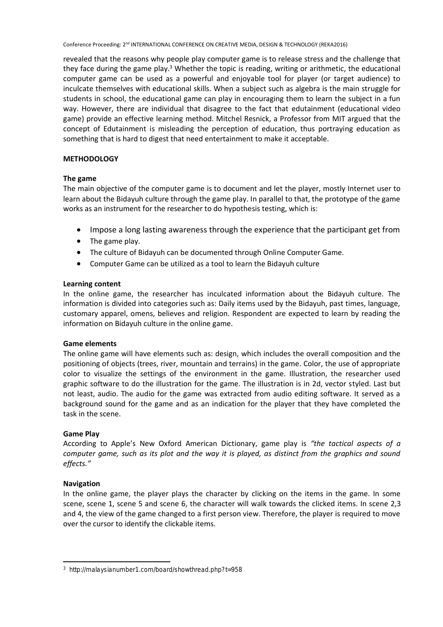revealed that the reasons why people play computer game is to release stress and the challenge that they face during the game play.<sup>3</sup> Whether the topic is reading, writing or arithmetic, the educational computer game can be used as a powerful and enjoyable tool for player (or target audience) to inculcate themselves with educational skills. When a subject such as algebra is the main struggle for students in school, the educational game can play in encouraging them to learn the subject in a fun way. However, there are individual that disagree to the fact that edutainment (educational video game) provide an effective learning method. Mitchel Resnick, a Professor from MIT argued that the concept of Edutainment is misleading the perception of education, thus portraying education as something that is hard to digest that need entertainment to make it acceptable.

# **METHODOLOGY**

# **The game**

The main objective of the computer game is to document and let the player, mostly Internet user to learn about the Bidayuh culture through the game play. In parallel to that, the prototype of the game works as an instrument for the researcher to do hypothesis testing, which is:

- Impose a long lasting awareness through the experience that the participant get from
- The game play.
- The culture of Bidayuh can be documented through Online Computer Game.
- Computer Game can be utilized as a tool to learn the Bidayuh culture

# **Learning content**

In the online game, the researcher has inculcated information about the Bidayuh culture. The information is divided into categories such as: Daily items used by the Bidayuh, past times, language, customary apparel, omens, believes and religion. Respondent are expected to learn by reading the information on Bidayuh culture in the online game.

# **Game elements**

The online game will have elements such as: design, which includes the overall composition and the positioning of objects (trees, river, mountain and terrains) in the game. Color, the use of appropriate color to visualize the settings of the environment in the game. Illustration, the researcher used graphic software to do the illustration for the game. The illustration is in 2d, vector styled. Last but not least, audio. The audio for the game was extracted from audio editing software. It served as a background sound for the game and as an indication for the player that they have completed the task in the scene.

# **Game Play**

According to Apple's New Oxford American Dictionary, game play is *"the tactical aspects of a computer game, such as its plot and the way it is played, as distinct from the graphics and sound effects."*

# **Navigation**

.

In the online game, the player plays the character by clicking on the items in the game. In some scene, scene 1, scene 5 and scene 6, the character will walk towards the clicked items. In scene 2,3 and 4, the view of the game changed to a first person view. Therefore, the player is required to move over the cursor to identify the clickable items.

<sup>3</sup> http://malaysianumber1.com/board/showthread.php?t=958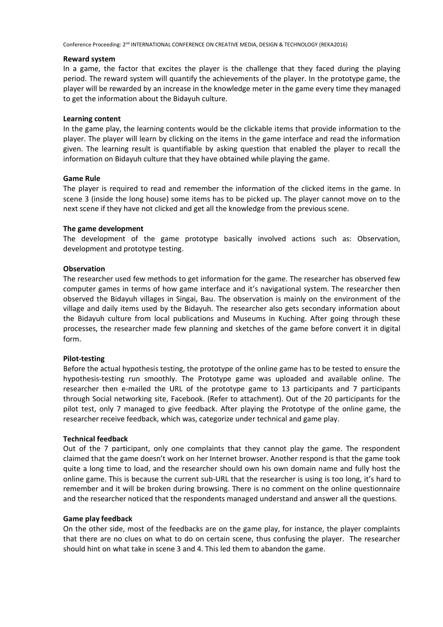## **Reward system**

In a game, the factor that excites the player is the challenge that they faced during the playing period. The reward system will quantify the achievements of the player. In the prototype game, the player will be rewarded by an increase in the knowledge meter in the game every time they managed to get the information about the Bidayuh culture.

## **Learning content**

In the game play, the learning contents would be the clickable items that provide information to the player. The player will learn by clicking on the items in the game interface and read the information given. The learning result is quantifiable by asking question that enabled the player to recall the information on Bidayuh culture that they have obtained while playing the game.

## **Game Rule**

The player is required to read and remember the information of the clicked items in the game. In scene 3 (inside the long house) some items has to be picked up. The player cannot move on to the next scene if they have not clicked and get all the knowledge from the previous scene.

## **The game development**

The development of the game prototype basically involved actions such as: Observation, development and prototype testing.

## **Observation**

The researcher used few methods to get information for the game. The researcher has observed few computer games in terms of how game interface and it's navigational system. The researcher then observed the Bidayuh villages in Singai, Bau. The observation is mainly on the environment of the village and daily items used by the Bidayuh. The researcher also gets secondary information about the Bidayuh culture from local publications and Museums in Kuching. After going through these processes, the researcher made few planning and sketches of the game before convert it in digital form.

# **Pilot-testing**

Before the actual hypothesis testing, the prototype of the online game has to be tested to ensure the hypothesis-testing run smoothly. The Prototype game was uploaded and available online. The researcher then e-mailed the URL of the prototype game to 13 participants and 7 participants through Social networking site, Facebook. (Refer to attachment). Out of the 20 participants for the pilot test, only 7 managed to give feedback. After playing the Prototype of the online game, the researcher receive feedback, which was, categorize under technical and game play.

#### **Technical feedback**

Out of the 7 participant, only one complaints that they cannot play the game. The respondent claimed that the game doesn't work on her Internet browser. Another respond is that the game took quite a long time to load, and the researcher should own his own domain name and fully host the online game. This is because the current sub-URL that the researcher is using is too long, it's hard to remember and it will be broken during browsing. There is no comment on the online questionnaire and the researcher noticed that the respondents managed understand and answer all the questions.

#### **Game play feedback**

On the other side, most of the feedbacks are on the game play, for instance, the player complaints that there are no clues on what to do on certain scene, thus confusing the player. The researcher should hint on what take in scene 3 and 4. This led them to abandon the game.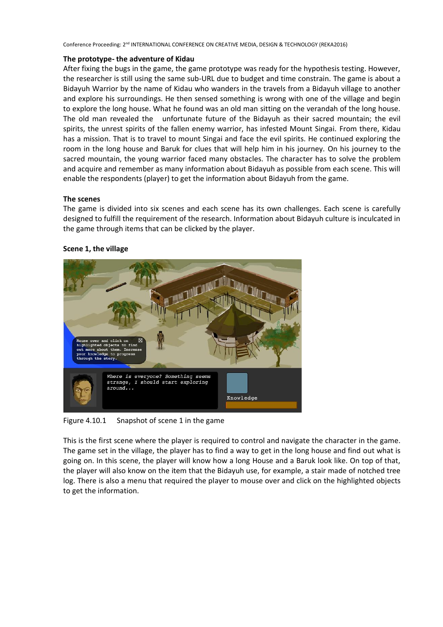## **The prototype- the adventure of Kidau**

After fixing the bugs in the game, the game prototype was ready for the hypothesis testing. However, the researcher is still using the same sub-URL due to budget and time constrain. The game is about a Bidayuh Warrior by the name of Kidau who wanders in the travels from a Bidayuh village to another and explore his surroundings. He then sensed something is wrong with one of the village and begin to explore the long house. What he found was an old man sitting on the verandah of the long house. The old man revealed the unfortunate future of the Bidayuh as their sacred mountain; the evil spirits, the unrest spirits of the fallen enemy warrior, has infested Mount Singai. From there, Kidau has a mission. That is to travel to mount Singai and face the evil spirits. He continued exploring the room in the long house and Baruk for clues that will help him in his journey. On his journey to the sacred mountain, the young warrior faced many obstacles. The character has to solve the problem and acquire and remember as many information about Bidayuh as possible from each scene. This will enable the respondents (player) to get the information about Bidayuh from the game.

# **The scenes**

The game is divided into six scenes and each scene has its own challenges. Each scene is carefully designed to fulfill the requirement of the research. Information about Bidayuh culture is inculcated in the game through items that can be clicked by the player.



# **Scene 1, the village**

Figure 4.10.1 Snapshot of scene 1 in the game

This is the first scene where the player is required to control and navigate the character in the game. The game set in the village, the player has to find a way to get in the long house and find out what is going on. In this scene, the player will know how a long House and a Baruk look like. On top of that, the player will also know on the item that the Bidayuh use, for example, a stair made of notched tree log. There is also a menu that required the player to mouse over and click on the highlighted objects to get the information.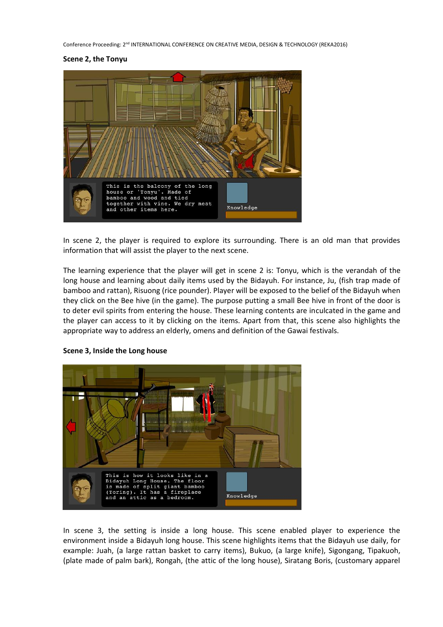#### **Scene 2, the Tonyu**



In scene 2, the player is required to explore its surrounding. There is an old man that provides information that will assist the player to the next scene.

The learning experience that the player will get in scene 2 is: Tonyu, which is the verandah of the long house and learning about daily items used by the Bidayuh. For instance, Ju, (fish trap made of bamboo and rattan), Risuong (rice pounder). Player will be exposed to the belief of the Bidayuh when they click on the Bee hive (in the game). The purpose putting a small Bee hive in front of the door is to deter evil spirits from entering the house. These learning contents are inculcated in the game and the player can access to it by clicking on the items. Apart from that, this scene also highlights the appropriate way to address an elderly, omens and definition of the Gawai festivals.



#### **Scene 3, Inside the Long house**

In scene 3, the setting is inside a long house. This scene enabled player to experience the environment inside a Bidayuh long house. This scene highlights items that the Bidayuh use daily, for example: Juah, (a large rattan basket to carry items), Bukuo, (a large knife), Sigongang, Tipakuoh, (plate made of palm bark), Rongah, (the attic of the long house), Siratang Boris, (customary apparel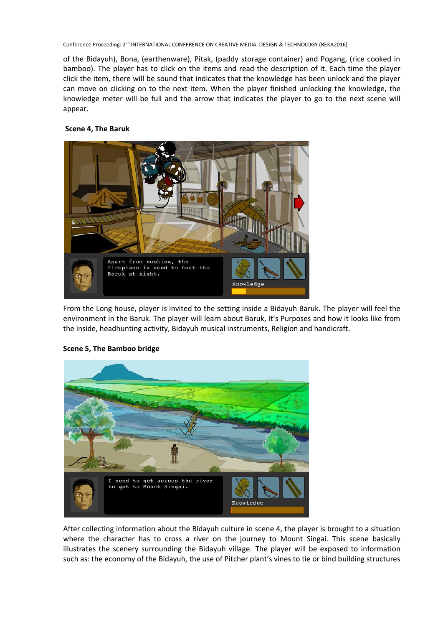of the Bidayuh), Bona, (earthenware), Pitak, (paddy storage container) and Pogang, (rice cooked in bamboo). The player has to click on the items and read the description of it. Each time the player click the item, there will be sound that indicates that the knowledge has been unlock and the player can move on clicking on to the next item. When the player finished unlocking the knowledge, the knowledge meter will be full and the arrow that indicates the player to go to the next scene will appear.

## **Scene 4, The Baruk**



From the Long house, player is invited to the setting inside a Bidayuh Baruk. The player will feel the environment in the Baruk. The player will learn about Baruk, It's Purposes and how it looks like from the inside, headhunting activity, Bidayuh musical instruments, Religion and handicraft.



# **Scene 5, The Bamboo bridge**

After collecting information about the Bidayuh culture in scene 4, the player is brought to a situation where the character has to cross a river on the journey to Mount Singai. This scene basically illustrates the scenery surrounding the Bidayuh village. The player will be exposed to information such as: the economy of the Bidayuh, the use of Pitcher plant's vines to tie or bind building structures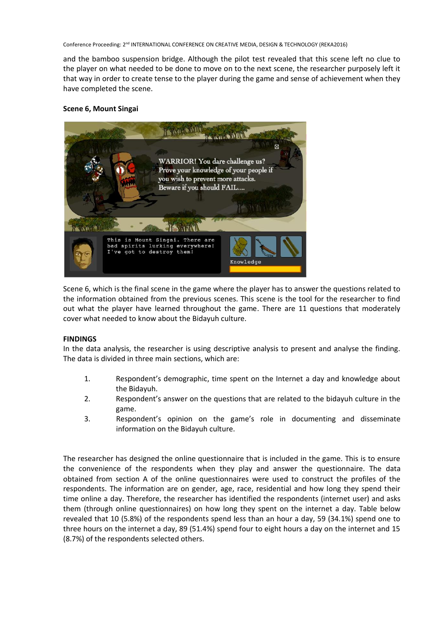and the bamboo suspension bridge. Although the pilot test revealed that this scene left no clue to the player on what needed to be done to move on to the next scene, the researcher purposely left it that way in order to create tense to the player during the game and sense of achievement when they have completed the scene.

# **Scene 6, Mount Singai**



Scene 6, which is the final scene in the game where the player has to answer the questions related to the information obtained from the previous scenes. This scene is the tool for the researcher to find out what the player have learned throughout the game. There are 11 questions that moderately cover what needed to know about the Bidayuh culture.

# **FINDINGS**

In the data analysis, the researcher is using descriptive analysis to present and analyse the finding. The data is divided in three main sections, which are:

- 1. Respondent's demographic, time spent on the Internet a day and knowledge about the Bidayuh.
- 2. Respondent's answer on the questions that are related to the bidayuh culture in the game.
- 3. Respondent's opinion on the game's role in documenting and disseminate information on the Bidayuh culture.

The researcher has designed the online questionnaire that is included in the game. This is to ensure the convenience of the respondents when they play and answer the questionnaire. The data obtained from section A of the online questionnaires were used to construct the profiles of the respondents. The information are on gender, age, race, residential and how long they spend their time online a day. Therefore, the researcher has identified the respondents (internet user) and asks them (through online questionnaires) on how long they spent on the internet a day. Table below revealed that 10 (5.8%) of the respondents spend less than an hour a day, 59 (34.1%) spend one to three hours on the internet a day, 89 (51.4%) spend four to eight hours a day on the internet and 15 (8.7%) of the respondents selected others.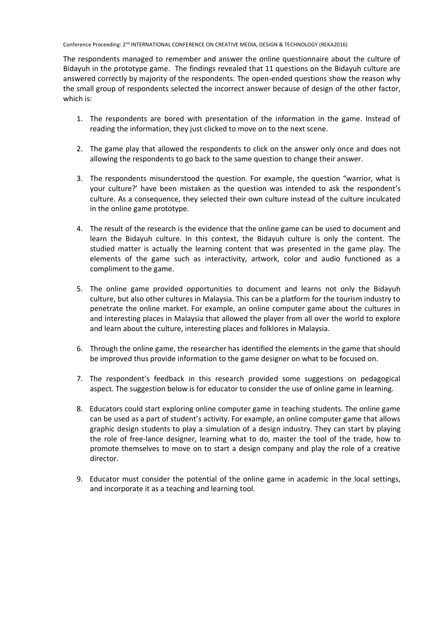The respondents managed to remember and answer the online questionnaire about the culture of Bidayuh in the prototype game. The findings revealed that 11 questions on the Bidayuh culture are answered correctly by majority of the respondents. The open-ended questions show the reason why the small group of respondents selected the incorrect answer because of design of the other factor, which is:

- 1. The respondents are bored with presentation of the information in the game. Instead of reading the information, they just clicked to move on to the next scene.
- 2. The game play that allowed the respondents to click on the answer only once and does not allowing the respondents to go back to the same question to change their answer.
- 3. The respondents misunderstood the question. For example, the question "warrior, what is your culture?' have been mistaken as the question was intended to ask the respondent's culture. As a consequence, they selected their own culture instead of the culture inculcated in the online game prototype.
- 4. The result of the research is the evidence that the online game can be used to document and learn the Bidayuh culture. In this context, the Bidayuh culture is only the content. The studied matter is actually the learning content that was presented in the game play. The elements of the game such as interactivity, artwork, color and audio functioned as a compliment to the game.
- 5. The online game provided opportunities to document and learns not only the Bidayuh culture, but also other cultures in Malaysia. This can be a platform for the tourism industry to penetrate the online market. For example, an online computer game about the cultures in and interesting places in Malaysia that allowed the player from all over the world to explore and learn about the culture, interesting places and folklores in Malaysia.
- 6. Through the online game, the researcher has identified the elements in the game that should be improved thus provide information to the game designer on what to be focused on.
- 7. The respondent's feedback in this research provided some suggestions on pedagogical aspect. The suggestion below is for educator to consider the use of online game in learning.
- 8. Educators could start exploring online computer game in teaching students. The online game can be used as a part of student's activity. For example, an online computer game that allows graphic design students to play a simulation of a design industry. They can start by playing the role of free-lance designer, learning what to do, master the tool of the trade, how to promote themselves to move on to start a design company and play the role of a creative director.
- 9. Educator must consider the potential of the online game in academic in the local settings, and incorporate it as a teaching and learning tool.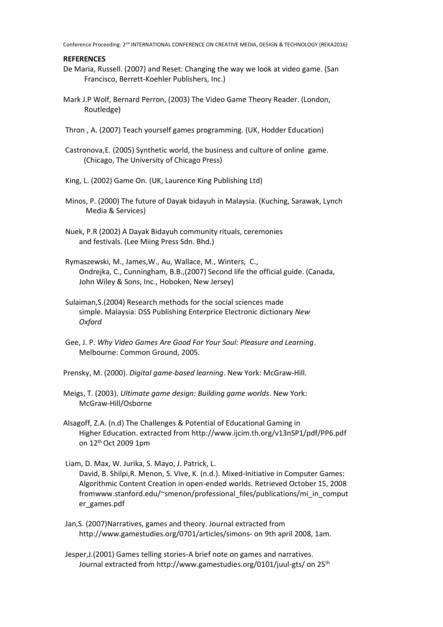#### **REFERENCES**

- De Maria, Russell. (2007) and Reset: Changing the way we look at video game. (San Francisco, Berrett-Koehler Publishers, Inc.)
- Mark J.P Wolf, Bernard Perron, (2003) The Video Game Theory Reader. (London, Routledge)
- Thron , A. (2007) Teach yourself games programming. (UK, Hodder Education)
- Castronova,E. (2005) Synthetic world, the business and culture of online game. (Chicago, The University of Chicago Press)
- King, L. (2002) Game On. (UK, Laurence King Publishing Ltd)
- Minos, P. (2000) The future of Dayak bidayuh in Malaysia. (Kuching, Sarawak, Lynch Media & Services)
- Nuek, P.R (2002) A Dayak Bidayuh community rituals, ceremonies and festivals. (Lee Miing Press Sdn. Bhd.)
- Rymaszewski, M., James,W., Au, Wallace, M., Winters, C., Ondrejka, C., Cunningham, B.B.,(2007) Second life the official guide. (Canada, John Wiley & Sons, Inc., Hoboken, New Jersey)
- Sulaiman,S.(2004) Research methods for the social sciences made simple. Malaysia: DSS Publishing Enterprice Electronic dictionary *New Oxford*
- Gee, J. P. *Why Video Games Are Good For Your Soul: Pleasure and Learning*. Melbourne: Common Ground, 2005.
- Prensky, M. (2000). *Digital game-based learning*. New York: McGraw-Hill.
- Meigs, T. (2003). *Ultimate game design: Building game worlds*. New York: McGraw-Hill/Osborne
- Alsagoff, Z.A. (n.d) The Challenges & Potential of Educational Gaming in Higher Education. extracted from http://www.ijcim.th.org/v13nSP1/pdf/PP6.pdf on 12th Oct 2009 1pm

Liam, D. Max, W. Jurika, S. Mayo, J. Patrick, L. David, B. Shilpi,R. Menon, S. Vive, K. (n.d.). Mixed-Initiative in Computer Games: Algorithmic Content Creation in open-ended worlds. Retrieved October 15, 2008 fromwww.stanford.edu/~smenon/professional\_files/publications/mi\_in\_comput er\_games.pdf

- Jan,S. (2007)Narratives, games and theory. Journal extracted from http://www.gamestudies.org/0701/articles/simons- on 9th april 2008, 1am.
- Jesper,J.(2001) Games telling stories-A brief note on games and narratives. Journal extracted from http://www.gamestudies.org/0101/juul-gts/ on 25th